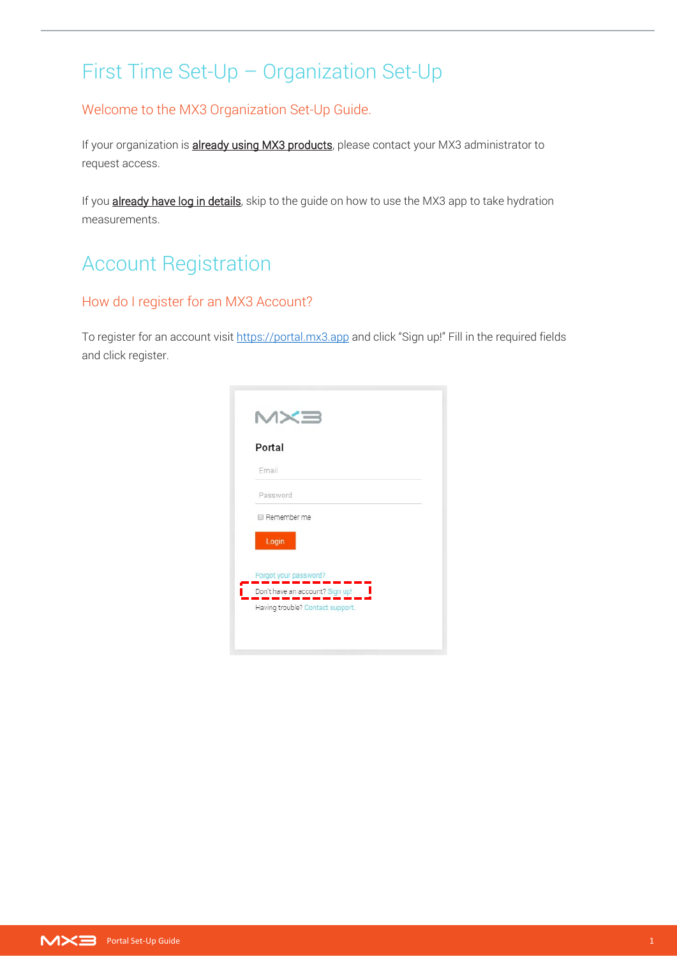# First Time Set-Up – Organization Set-Up

### Welcome to the MX3 Organization Set-Up Guide.

If your organization is **already using MX3 products**, please contact your MX3 administrator to request access.

If you **already have log in details**, skip to the guide on how to use the MX3 app to take hydration measurements.

# Account Registration

### How do I register for an MX3 Account?

To register for an account visit [https://portal.mx3.app](https://portal.mx3.app/) and click "Sign up!" Fill in the required fields and click register.

| Portal                          |  |  |
|---------------------------------|--|--|
| Email                           |  |  |
| Password                        |  |  |
| Remember me                     |  |  |
| Login                           |  |  |
| Forgot your password?           |  |  |
| Don't have an account? Sign up! |  |  |

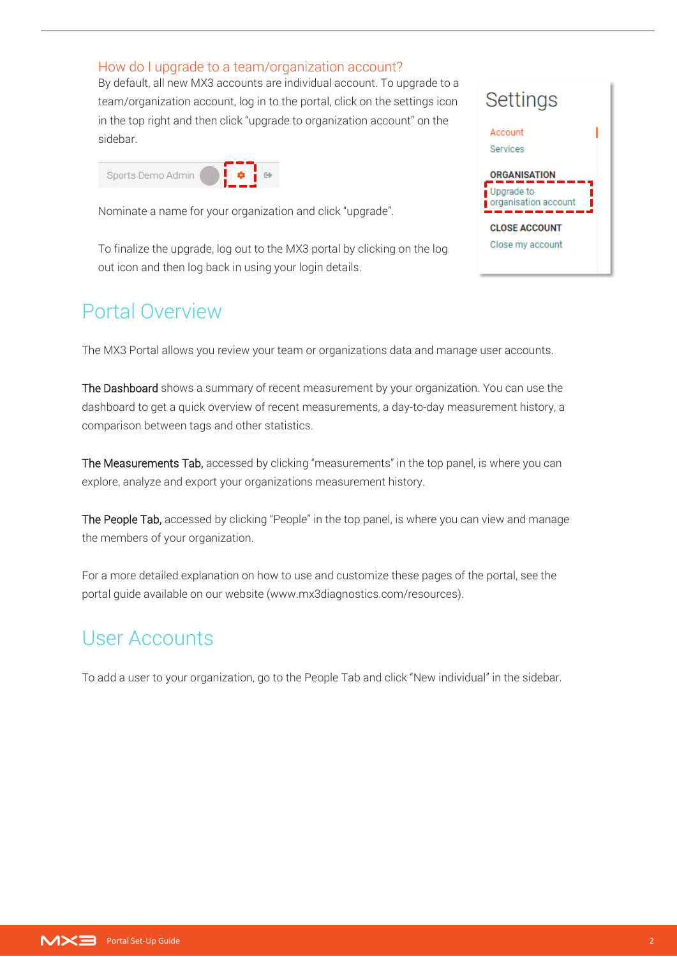#### How do I upgrade to a team/organization account?

By default, all new MX3 accounts are individual account. To upgrade to a team/organization account, log in to the portal, click on the settings icon in the top right and then click "upgrade to organization account" on the sidebar.

|                   | ---                         |  |
|-------------------|-----------------------------|--|
| Sports Demo Admin | $\frac{1}{2}$ $\phi$ $\phi$ |  |
|                   | 45 m m m m                  |  |

Nominate a name for your organization and click "upgrade".

To finalize the upgrade, log out to the MX3 portal by clicking on the log out icon and then log back in using your login details.

## Portal Overview

The MX3 Portal allows you review your team or organizations data and manage user accounts.

The Dashboard shows a summary of recent measurement by your organization. You can use the dashboard to get a quick overview of recent measurements, a day-to-day measurement history, a comparison between tags and other statistics.

The Measurements Tab, accessed by clicking "measurements" in the top panel, is where you can explore, analyze and export your organizations measurement history.

The People Tab, accessed by clicking "People" in the top panel, is where you can view and manage the members of your organization.

For a more detailed explanation on how to use and customize these pages of the portal, see the portal guide available on our website (www.mx3diagnostics.com/resources).

## User Accounts

To add a user to your organization, go to the People Tab and click "New individual" in the sidebar.

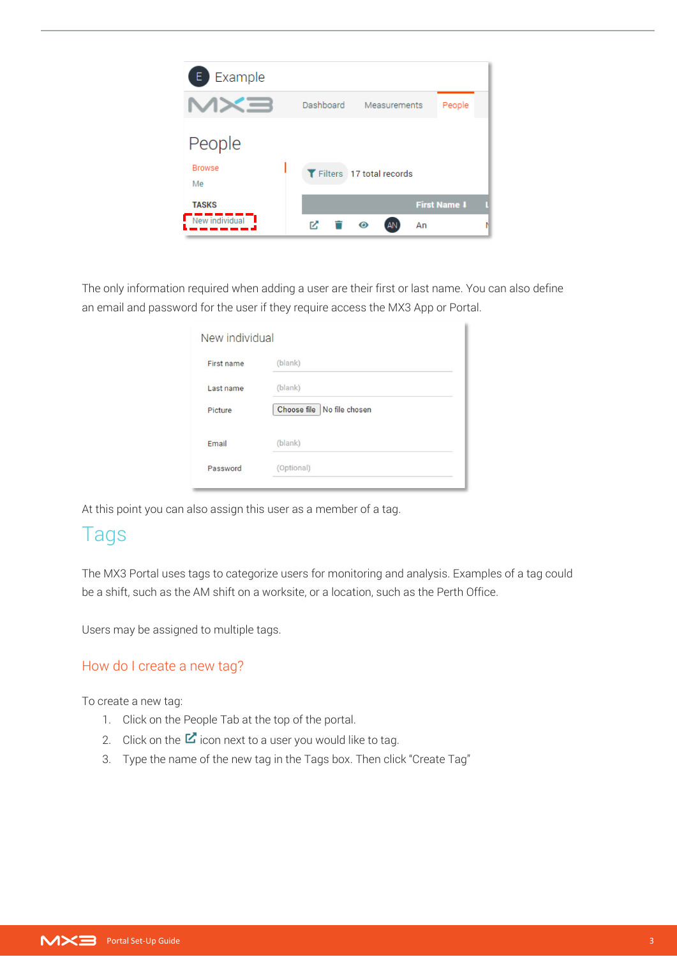| Example<br>E.                 |           |                          |                     |
|-------------------------------|-----------|--------------------------|---------------------|
|                               | Dashboard | Measurements             | People              |
| People<br><b>Browse</b><br>Me |           | Filters 17 total records |                     |
| <b>TASKS</b>                  |           |                          | <b>First Name 1</b> |
| New individual                | M         | $\bullet$<br>ΑN          | An                  |

The only information required when adding a user are their first or last name. You can also define an email and password for the user if they require access the MX3 App or Portal.

| New individual |                              |
|----------------|------------------------------|
| First name     | (blank)                      |
| Last name      | (blank)                      |
| Picture        | Choose file   No file chosen |
| Email          | (blank)                      |
| Password       | (Optional)                   |

At this point you can also assign this user as a member of a tag.

### Tags

The MX3 Portal uses tags to categorize users for monitoring and analysis. Examples of a tag could be a shift, such as the AM shift on a worksite, or a location, such as the Perth Office.

Users may be assigned to multiple tags.

#### How do I create a new tag?

To create a new tag:

- 1. Click on the People Tab at the top of the portal.
- 2. Click on the  $\mathbf Z$  icon next to a user you would like to tag.
- 3. Type the name of the new tag in the Tags box. Then click "Create Tag"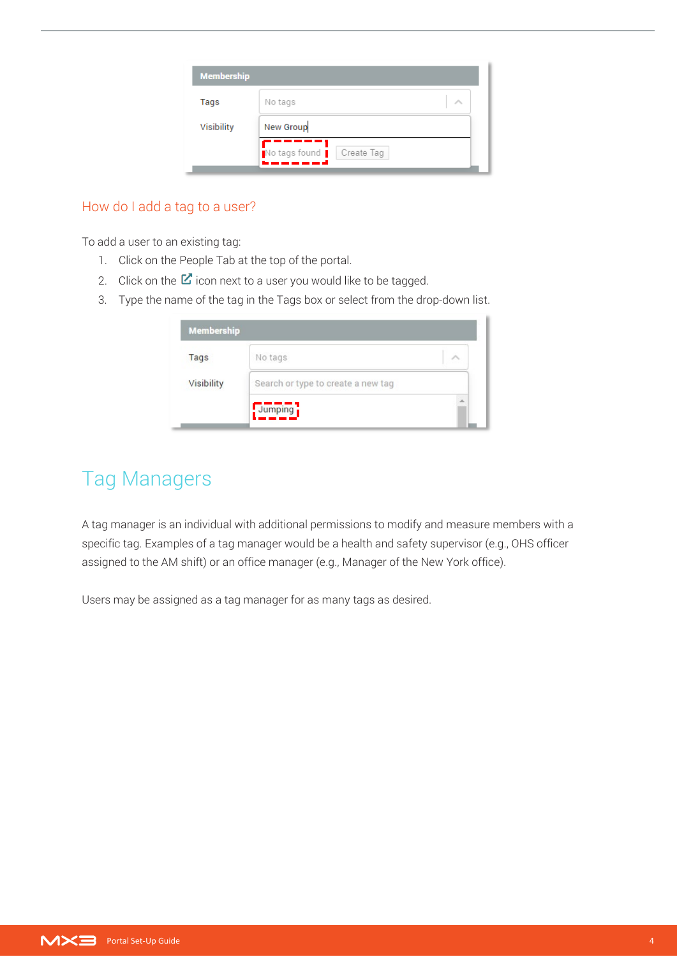| <b>Membership</b> |                                                         |  |
|-------------------|---------------------------------------------------------|--|
| Tags              | No tags                                                 |  |
| Visibility        | New Group                                               |  |
|                   | No tags found<br>Create Tag<br>المراجعة وتناولت وتناولت |  |

#### How do I add a tag to a user?

To add a user to an existing tag:

- 1. Click on the People Tab at the top of the portal.
- 2. Click on the  $\mathbb Z$  icon next to a user you would like to be tagged.
- 3. Type the name of the tag in the Tags box or select from the drop-down list.

| Tags       | No tags                            |  |
|------------|------------------------------------|--|
| Visibility | Search or type to create a new tag |  |

## Tag Managers

A tag manager is an individual with additional permissions to modify and measure members with a specific tag. Examples of a tag manager would be a health and safety supervisor (e.g., OHS officer assigned to the AM shift) or an office manager (e.g., Manager of the New York office).

Users may be assigned as a tag manager for as many tags as desired.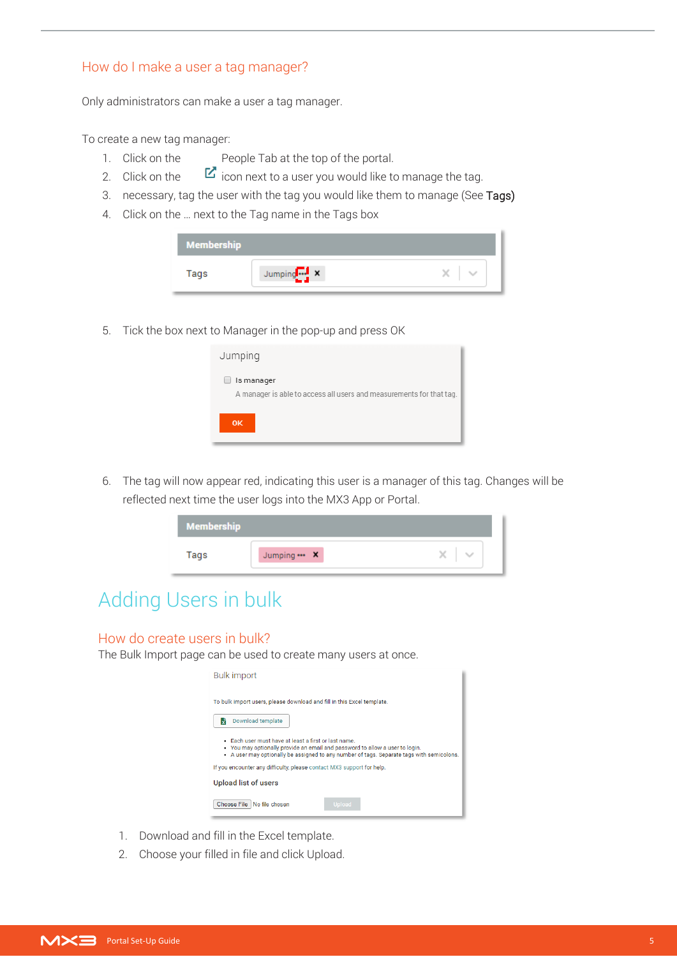#### How do I make a user a tag manager?

Only administrators can make a user a tag manager.

To create a new tag manager:

- 1. Click on the People Tab at the top of the portal.
- 2. Click on the  $\mathbf{z}$  icon next to a user you would like to manage the tag.
- 3. necessary, tag the user with the tag you would like them to manage (See Tags)
- 4. Click on the … next to the Tag name in the Tags box

| <b>Membership</b> |                         |  |
|-------------------|-------------------------|--|
| Tags              | Jumping <sub>14</sub> x |  |

5. Tick the box next to Manager in the pop-up and press OK

| Jumping                                                                            |
|------------------------------------------------------------------------------------|
| Is manager<br>A manager is able to access all users and measurements for that tag. |
| <b>OK</b>                                                                          |

6. The tag will now appear red, indicating this user is a manager of this tag. Changes will be reflected next time the user logs into the MX3 App or Portal.

| <b>Membership</b> |                           |  |
|-------------------|---------------------------|--|
| Tags              | Jumping $\cdots$ $\times$ |  |

## Adding Users in bulk

#### How do create users in bulk?

The Bulk Import page can be used to create many users at once.

| <b>Bulk import</b>                                                                                                                                                                                                                         |  |
|--------------------------------------------------------------------------------------------------------------------------------------------------------------------------------------------------------------------------------------------|--|
| To bulk import users, please download and fill in this Excel template.                                                                                                                                                                     |  |
| Download template<br>ЬĦ                                                                                                                                                                                                                    |  |
| Each user must have at least a first or last name.<br>. You may optionally provide an email and password to allow a user to login.<br>A user may optionally be assigned to any number of tags. Separate tags with semicolons.<br>$\bullet$ |  |
| If you encounter any difficulty, please contact MX3 support for help.                                                                                                                                                                      |  |
| <b>Upload list of users</b>                                                                                                                                                                                                                |  |
| Choose File   No file chosen<br><b>Upload</b>                                                                                                                                                                                              |  |

- 1. Download and fill in the Excel template.
- 2. Choose your filled in file and click Upload.